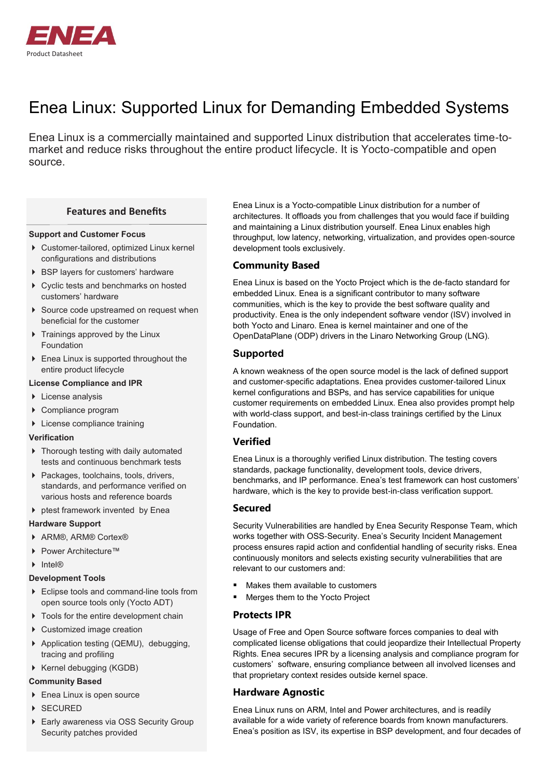

# Enea Linux: Supported Linux for Demanding Embedded Systems

Enea Linux is a commercially maintained and supported Linux distribution that accelerates time-tomarket and reduce risks throughout the entire product lifecycle. It is Yocto-compatible and open source.

#### **Features and Benefits**

#### **Support and Customer Focus**

- Customer-tailored, optimized Linux kernel configurations and distributions
- ▶ BSP layers for customers' hardware
- ▶ Cyclic tests and benchmarks on hosted customers' hardware
- ▶ Source code upstreamed on request when beneficial for the customer
- $\triangleright$  Trainings approved by the Linux Foundation
- Enea Linux is supported throughout the entire product lifecycle

#### **License Compliance and IPR**

- **License analysis**
- ▶ Compliance program
- License compliance training

#### **Verification**

- $\triangleright$  Thorough testing with daily automated tests and continuous benchmark tests
- Packages, toolchains, tools, drivers, standards, and performance verified on various hosts and reference boards
- $\blacktriangleright$  ptest framework invented by Enea

#### **Hardware Support**

- ▶ ARM®, ARM® Cortex®
- ▶ Power Architecture™
- $\blacktriangleright$  Intel®

#### **Development Tools**

- ▶ Eclipse tools and command-line tools from open source tools only (Yocto ADT)
- $\triangleright$  Tools for the entire development chain
- ▶ Customized image creation
- ▶ Application testing (QEMU), debugging, tracing and profiling
- ▶ Kernel debugging (KGDB)

#### **Community Based**

- ▶ Enea Linux is open source
- ▶ SECURED
- Early awareness via OSS Security Group Security patches provided

Enea Linux is a Yocto-compatible Linux distribution for a number of architectures. It offloads you from challenges that you would face if building and maintaining a Linux distribution yourself. Enea Linux enables high throughput, low latency, networking, virtualization, and provides open-source development tools exclusively.

### **Community Based**

Enea Linux is based on the Yocto Project which is the de-facto standard for embedded Linux. Enea is a significant contributor to many software communities, which is the key to provide the best software quality and productivity. Enea is the only independent software vendor (ISV) involved in both Yocto and Linaro. Enea is kernel maintainer and one of the OpenDataPlane (ODP) drivers in the Linaro Networking Group (LNG).

## **Supported**

A known weakness of the open source model is the lack of defined support and customer-specific adaptations. Enea provides customer-tailored Linux kernel configurations and BSPs, and has service capabilities for unique customer requirements on embedded Linux. Enea also provides prompt help with world-class support, and best-in-class trainings certified by the Linux Foundation.

## **Verified**

Enea Linux is a thoroughly verified Linux distribution. The testing covers standards, package functionality, development tools, device drivers, benchmarks, and IP performance. Enea's test framework can host customers' hardware, which is the key to provide best-in-class verification support.

### **Secured**

Security Vulnerabilities are handled by Enea Security Response Team, which works together with OSS-Security. Enea's Security Incident Management process ensures rapid action and confidential handling of security risks. Enea continuously monitors and selects existing security vulnerabilities that are relevant to our customers and:

- Makes them available to customers
- Merges them to the Yocto Project

### **Protects IPR**

Usage of Free and Open Source software forces companies to deal with complicated license obligations that could jeopardize their Intellectual Property Rights. Enea secures IPR by a licensing analysis and compliance program for customers' software, ensuring compliance between all involved licenses and that proprietary context resides outside kernel space.

### **Hardware Agnostic**

Enea Linux runs on ARM, Intel and Power architectures, and is readily available for a wide variety of reference boards from known manufacturers. Enea's position as ISV, its expertise in BSP development, and four decades of